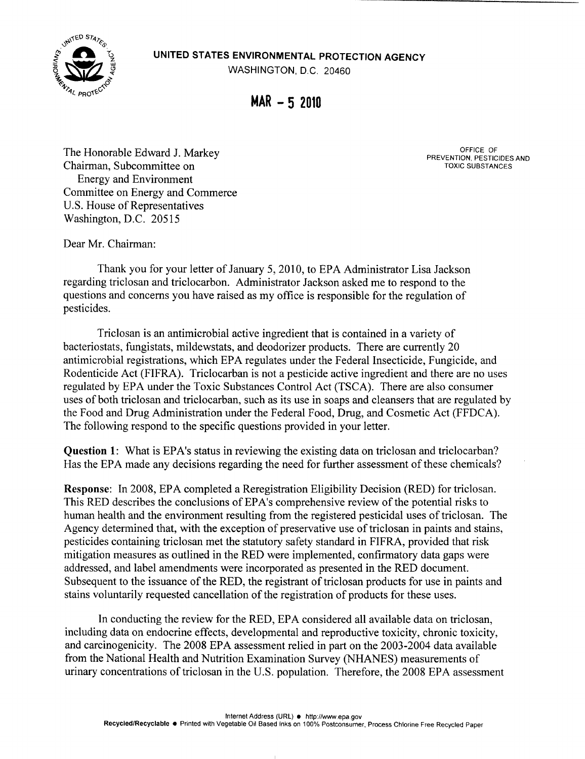$\widetilde{V}_{\widetilde{\mathbf{a}}}$  UNITED STATES ENVIRONMENTAL PROTECTION AGENCY



 $MAR - 52010$ 

The Honorable Edward J. Markey Chairman, Subcommittee on Energy and Environment Committee on Energy and Commerce U.S. House of Representatives Washington, D.C. 20515

OFFICE OF PREVENTION, PESTICIDES AND TOXIC SUBSTANCES

Dear Mr. Chairman:

Thank you for your letter of January 5, 2010, to EPA Administrator Lisa Jackson regarding triclosan and triclocarbon. Administrator Jackson asked me to respond to the questions and concerns you have raised as my office is responsible for the regulation of pesticides.

Triclosan is an antimicrobial active ingredient that is contained in a variety of bacteriostats, fungistats, mildewstats, and deodorizer products. There are currently 20 antimicrobial registrations, which EPA regulates under the Federal Insecticide, Fungicide, and Rodenticide Act (FIFRA). Triclocarban is not a pesticide active ingredient and there are no uses regulated by EPA under the Toxic Substances Control Act (TSCA) . There are also consumer uses of both triclosan and triclocarban, such as its use in soaps and cleansers that are regulated by the Food and Drug Administration under the Federal Food, Drug, and Cosmetic Act (FFDCA). The following respond to the specific questions provided in your letter .

Question 1: What is EPA's status in reviewing the existing data on triclosan and triclocarban? Has the EPA made any decisions regarding the need for further assessment of these chemicals?

Response: In 2008, EPA completed a Reregistration Eligibility Decision (RED) for triclosan. This RED describes the conclusions of EPA's comprehensive review of the potential risks to human health and the environment resulting from the registered pesticidal uses of triclosan. The Agency determined that, with the exception of preservative use of triclosan in paints and stains, pesticides containing triclosan met the statutory safety standard in FIFRA, provided that risk mitigation measures as outlined in the RED were implemented, confirmatory data gaps were addressed, and label amendments were incorporated as presented in the RED document. Subsequent to the issuance of the RED, the registrant of triclosan products for use in paints and stains voluntarily requested cancellation of the registration of products for these uses.

In conducting the review for the RED, EPA considered all available data on triclosan, including data on endocrine effects, developmental and reproductive toxicity, chronic toxicity, and carcinogenicity. The 2008 EPA assessment relied in part on the 2003-2004 data available from the National Health and Nutrition Examination Survey (NHANES) measurements of urinary concentrations of triclosan in the U.S . population. Therefore, the 2008 EPA assessment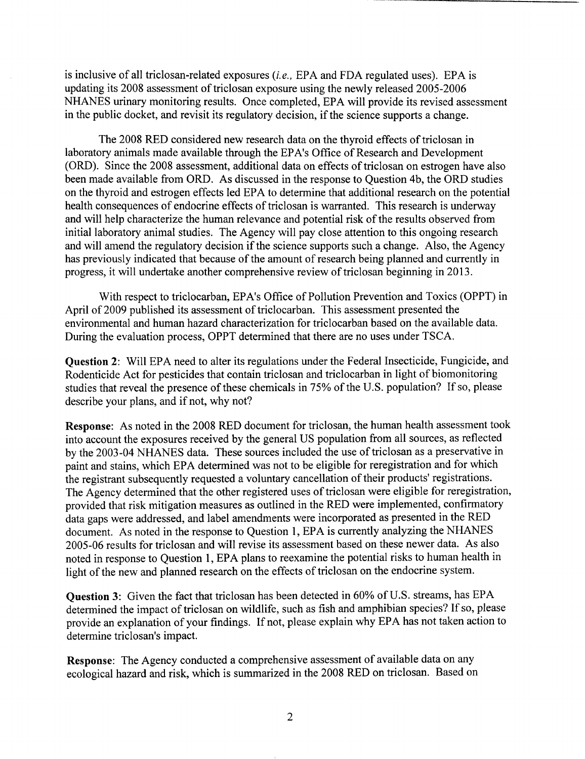is inclusive of all triclosan-related exposures  $(i.e., EPA$  and FDA regulated uses). EPA is updating its 2008 assessment of triclosan exposure using the newly released 2005-2006 NHANES urinary monitoring results. Once completed, EPA will provide its revised assessment in the public docket, and revisit its regulatory decision, if the science supports a change.

The 2008 RED considered new research data on the thyroid effects of triclosan in laboratory animals made available through the EPA's Office of Research and Development (ORD) . Since the 2008 assessment, additional data on effects of triclosan on estrogen have also been made available from ORD. As discussed in the response to Question 4b, the ORD studies on the thyroid and estrogen effects led EPA to determine that additional research on the potential health consequences of endocrine effects of triclosan is warranted. This research is underway and will help characterize the human relevance and potential risk of the results observed from initial laboratory animal studies. The Agency will pay close attention to this ongoing research and will amend the regulatory decision if the science supports such a change. Also, the Agency has previously indicated that because of the amount of research being planned and currently in progress, it will undertake another comprehensive review of triclosan beginning in 2013 .

With respect to triclocarban, EPA's Office of Pollution Prevention and Toxics (OPPT) in April of 2009 published its assessment of triclocarban. This assessment presented the environmental and human hazard characterization for triclocarban based on the available data. During the evaluation process, OPPT determined that there are no uses under TSCA.

Question 2: Will EPA need to alter its regulations under the Federal Insecticide, Fungicide, and Rodenticide Act for pesticides that contain triclosan and triclocarban in light of biomonitoring studies that reveal the presence of these chemicals in 75% of the U.S . population? If so, please describe your plans, and if not, why not?

Response: As noted in the 2008 RED document for triclosan, the human health assessment took into account the exposures received by the general US population from all sources, as reflected by the 2003-04 NHANES data. These sources included the use of triclosan as a preservative in paint and stains, which EPA determined was not to be eligible for reregistration and for which the registrant subsequently requested a voluntary cancellation of their products' registrations. The Agency determined that the other registered uses of triclosan were eligible for reregistration, provided that risk mitigation measures as outlined in the RED were implemented, confirmatory data gaps were addressed, and label amendments were incorporated as presented in the RED document. As noted in the response to Question 1, EPA is currently analyzing the NHANES 2005-06 results for triclosan and will revise its assessment based on these newer data. As also noted in response to Question 1, EPA plans to reexamine the potential risks to human health in light of the new and planned research on the effects of triclosan on the endocrine system.

Question 3: Given the fact that triclosan has been detected in 60% of U.S. streams, has EPA determined the impact of triclosan on wildlife, such as fish and amphibian species? If so, please provide an explanation of your findings. If not, please explain why EPA has not taken action to determine triclosan's impact.

Response: The Agency conducted a comprehensive assessment of available data on any ecological hazard and risk, which is summarized in the 2008 RED on triclosan. Based on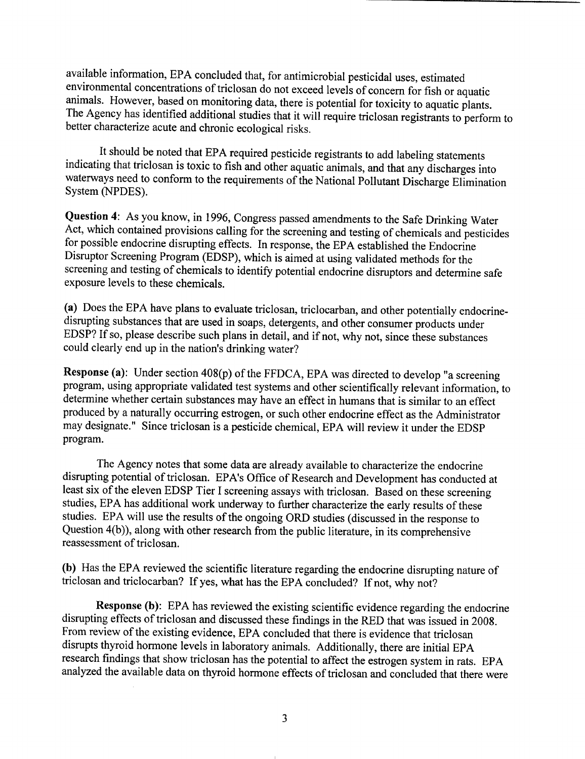available information, EPA concluded that, for antimicrobial pesticidal uses, estimated environmental concentrations of triclosan do not exceed levels of concern for fish or aquatic animals. However, based on monitoring data, there is potential for toxicity to aquatic plants. The Agency has identified additional studies that it will require triclosan registrants to perform to better characterize acute and chronic ecological risks.

It should be noted that EPA required pesticide registrants to add labeling statements indicating that triclosan is toxic to fish and other aquatic animals, and that any discharges into waterways need to conform to the requirements of the National Pollutant Discharge Elimination System (NPDES).

Question 4: As you know, in 1996, Congress passed amendments to the Safe Drinking Water Act, which contained provisions calling for the screening and testing of chemicals and pesticides for possible endocrine disrupting effects. In response, the EPA established the Endocrine Disruptor Screening Program (EDSP), which is aimed at using validated methods for the screening and testing of chemicals to identify potential endocrine disruptors and determine safe exposure levels to these chemicals.

(a) Does the EPA have plans to evaluate triclosan, triclocarban, and other potentially endocrinedisrupting substances that are used in soaps, detergents, and other consumer products under EDSP? If so, please describe such plans in detail, and if not, why not, since these substances could clearly end up in the nation's drinking water?

Response (a): Under section 408(p) of the FFDCA, EPA was directed to develop "a screening program, using appropriate validated test systems and other scientifically relevant information, to determine whether certain substances may have an effect in humans that is similar to an effect produced by a naturally occurring estrogen, or such other endocrine effect as the Administrator may designate." Since triclosan is a pesticide chemical, EPA will review it under the EDSP program.

The Agency notes that some data are already available to characterize the endocrine disrupting potential of triclosan. EPA's Office of Research and Development has conducted at least six of the eleven EDSP Tier I screening assays with triclosan. Based on these screening studies, EPA has additional work underway to further characterize the early results of these studies. EPA will use the results of the ongoing ORD studies (discussed in the response to Question 4(b)), along with other research from the public literature, in its comprehensive reassessment of triclosan.

(b) Has the EPA reviewed the scientific literature regarding the endocrine disrupting nature of triclosan and triclocarban? If yes, what has the EPA concluded? If not, why not?

Response (b): EPA has reviewed the existing scientific evidence regarding the endocrine disrupting effects of triclosan and discussed these findings in the RED that was issued in 2008. From review of the existing evidence, EPA concluded that there is evidence that triclosan disrupts thyroid hormone levels in laboratory animals. Additionally, there are initial EPA research findings that show triclosan has the potential to affect the estrogen system in rats . EPA analyzed the available data on thyroid hormone effects of triclosan and concluded that there were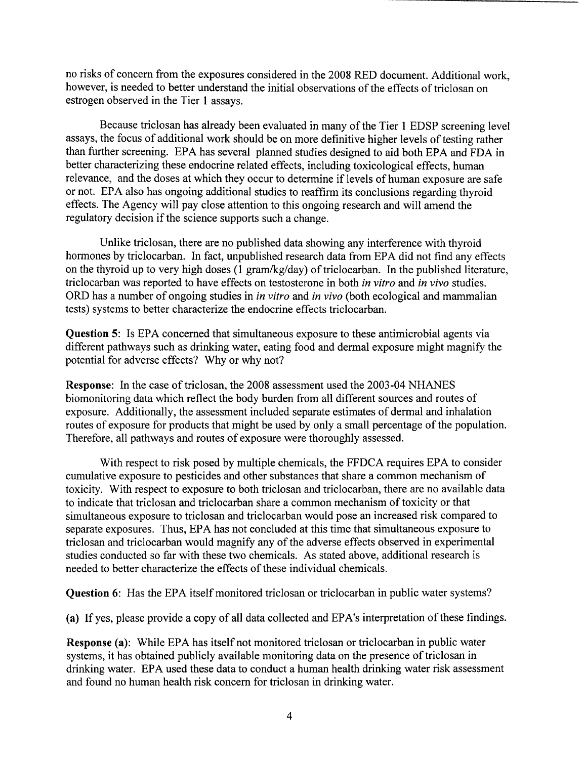no risks of concern from the exposures considered in the 2008 RED document. Additional work, however, is needed to better understand the initial observations of the effects of triclosan on estrogen observed in the Tier 1 assays .

Because triclosan has already been evaluated in many of the Tier 1 EDSP screening level assays, the focus of additional work should be on more definitive higher levels of testing rather than further screening. EPA has several planned studies designed to aid both EPA and FDA in better characterizing these endocrine related effects, including toxicological effects, human relevance, and the doses at which they occur to determine if levels of human exposure are safe or not. EPA also has ongoing additional studies to reaffirm its conclusions regarding thyroid effects. The Agency will pay close attention to this ongoing research and will amend the regulatory decision if the science supports such a change.

Unlike triclosan, there are no published data showing any interference with thyroid hormones by triclocarban. In fact, unpublished research data from EPA did not find any effects on the thyroid up to very high doses  $(1 \text{ gram/kg/day})$  of triclocarban. In the published literature, triclocarban was reported to have effects on testosterone in both in vitro and in vivo studies. ORD has a number of ongoing studies in in vitro and in vivo (both ecological and mammalian tests) systems to better characterize the endocrine effects triclocarban .

Question 5: Is EPA concerned that simultaneous exposure to these antimicrobial agents via different pathways such as drinking water, eating food and dermal exposure might magnify the potential for adverse effects? Why or why not?

Response: In the case of triclosan, the 2008 assessment used the 2003-04 NHANES biomonitoring data which reflect the body burden from all different sources and routes of exposure. Additionally, the assessment included separate estimates of dermal and inhalation routes of exposure for products that might be used by only a small percentage of the population. Therefore, all pathways and routes of exposure were thoroughly assessed .

With respect to risk posed by multiple chemicals, the FFDCA requires EPA to consider cumulative exposure to pesticides and other substances that share a common mechanism of toxicity. With respect to exposure to both triclosan and triclocarban, there are no available data to indicate that triclosan and triclocarban share a common mechanism of toxicity or that simultaneous exposure to triclosan and triclocarban would pose an increased risk compared to separate exposures. Thus, EPA has not concluded at this time that simultaneous exposure to triclosan and triclocarban would magnify any of the adverse effects observed in experimental studies conducted so far with these two chemicals. As stated above, additional research is needed to better characterize the effects of these individual chemicals.

Question 6: Has the EPA itself monitored triclosan or triclocarban in public water systems?

(a) If yes, please provide a copy of all data collected and EPA's interpretation of these findings.

**Response (a):** While EPA has itself not monitored triclosan or triclocarban in public water systems, it has obtained publicly available monitoring data on the presence of triclosan in drinking water. EPA used these data to conduct a human health drinking water risk assessment and found no human health risk concern for triclosan in drinking water.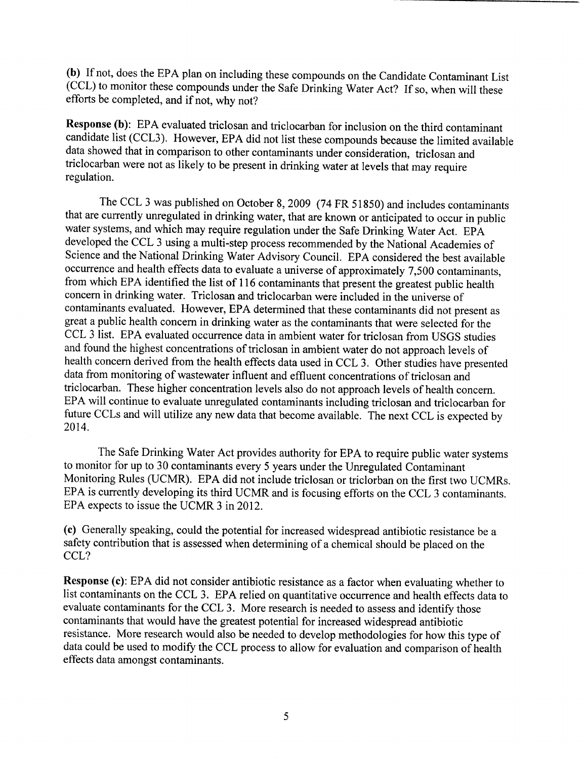(b) If not, does the EPA plan on including these compounds on the Candidate Contaminant List (CCL) to monitor these compounds under the Safe Drinking Water Act? If so, when will these efforts be completed, and if not, why not?

Response (b): EPA evaluated triclosan and triclocarban for inclusion on the third contaminant candidate list (CCL3). However, EPA did not list these compounds because the limited available data showed that in comparison to other contaminants under consideration, triclosan and triclocarban were not as likely to be present in drinking water at levels that may require regulation.

The CCL 3 was published on October 8, 2009 (74 FR 51850) and includes contaminants that are currently unregulated in drinking water, that are known or anticipated to occur in public water systems, and which may require regulation under the Safe Drinking Water Act. EPA developed the CCL 3 using a multi-step process recommended by the National Academies of Science and the National Drinking Water Advisory Council. EPA considered the best available occurrence and health effects data to evaluate a universe of approximately 7,500 contaminants, from which EPA identified the list of 116 contaminants that present the greatest public health concern in drinking water. Triclosan and triclocarban were included in the universe of contaminants evaluated. However, EPA determined that these contaminants did not present as great a public health concern in drinking water as the contaminants that were selected for the CCL 3 list. EPA evaluated occurrence data in ambient water for triclosan from USGS studies and found the highest concentrations of triclosan in ambient water do not approach levels of health concern derived from the health effects data used in CCL 3. Other studies have presented data from monitoring of wastewater influent and effluent concentrations of triclosan and triclocarban. These higher concentration levels also do not approach levels of health concern. EPA will continue to evaluate unregulated contaminants including triclosan and triclocarban for future CCLs and will utilize any new data that become available. The next CCL is expected by 2014.

The Safe Drinking Water Act provides authority for EPA to require public water systems to monitor for up to 30 contaminants every 5 years under the Unregulated Contaminant Monitoring Rules (UCMR). EPA did not include triclosan or triclorban on the first two UCMRs. EPA is currently developing its third UCMR and is focusing efforts on the CCL 3 contaminants. EPA expects to issue the UCMR 3 in 2012.

(c) Generally speaking, could the potential for increased widespread antibiotic resistance be a safety contribution that is assessed when determining of a chemical should be placed on the CCL?

Response (c): EPA did not consider antibiotic resistance as a factor when evaluating whether to list contaminants on the CCL 3. EPA relied on quantitative occurrence and health effects data to evaluate contaminants for the CCL 3. More research is needed to assess and identify those contaminants that would have the greatest potential for increased widespread antibiotic resistance. More research would also be needed to develop methodologies for how this type of data could be used to modify the CCL process to allow for evaluation and comparison of health effects data amongst contaminants .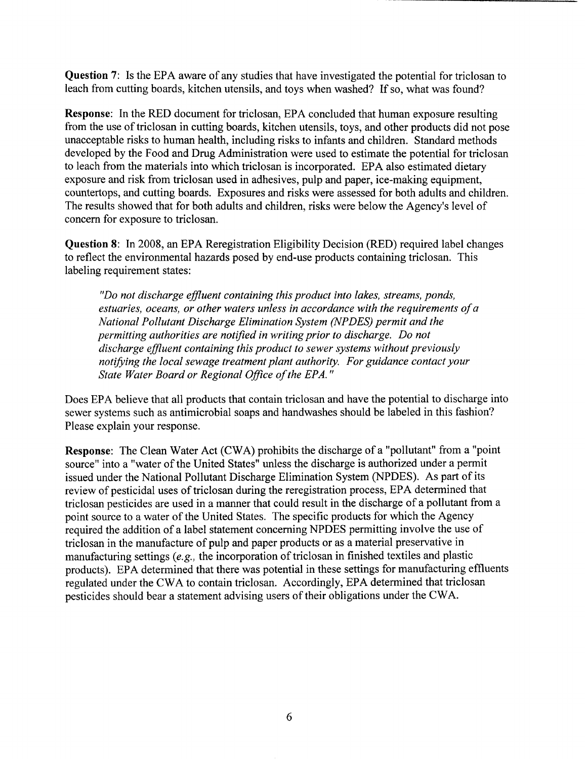Question 7: Is the EPA aware of any studies that have investigated the potential for triclosan to leach from cutting boards, kitchen utensils, and toys when washed? If so, what was found?

Response: In the RED document for triclosan, EPA concluded that human exposure resulting from the use of triclosan in cutting boards, kitchen utensils, toys, and other products did not pose unacceptable risks to human health, including risks to infants and children. Standard methods developed by the Food and Drug Administration were used to estimate the potential for triclosan to leach from the materials into which triclosan is incorporated . EPA also estimated dietary exposure and risk from triclosan used in adhesives, pulp and paper, ice-making equipment, countertops, and cutting boards. Exposures and risks were assessed for both adults and children. The results showed that for both adults and children, risks were below the Agency's level of concern for exposure to triclosan.

Question 8: In 2008, an EPA Reregistration Eligibility Decision (RED) required label changes to reflect the environmental hazards posed by end-use products containing triclosan. This labeling requirement states:

"Do not discharge effluent containing this product into lakes, streams, ponds, estuaries, oceans, or other waters unless in accordance with the requirements of a National Pollutant Discharge Elimination System (NPDES) permit and the permitting authorities are notified in writing prior to discharge. Do not discharge effluent containing this product to sewer systems without previously notifying the local sewage treatment plant authority. For guidance contact your State Water Board or Regional Office of the EPA. "

Does EPA believe that all products that contain triclosan and have the potential to discharge into sewer systems such as antimicrobial soaps and handwashes should be labeled in this fashion? Please explain your response.

Response: The Clean Water Act (CWA) prohibits the discharge of a "pollutant" from a "point source" into a "water of the United States" unless the discharge is authorized under a permit issued under the National Pollutant Discharge Elimination System (NPDES). As part of its review of pesticidal uses of triclosan during the reregistration process, EPA determined that triclosan pesticides are used in a manner that could result in the discharge of a pollutant from a point source to a water of the United States. The specific products for which the Agency required the addition of a label statement concerning NPDES permitting involve the use of triclosan in the manufacture of pulp and paper products or as a material preservative in manufacturing settings (e .g., the incorporation of triclosan in finished textiles and plastic products). EPA determined that there was potential in these settings for manufacturing effluents regulated under the CWA to contain triclosan. Accordingly, EPA determined that triclosan pesticides should bear a statement advising users of their obligations under the CWA.